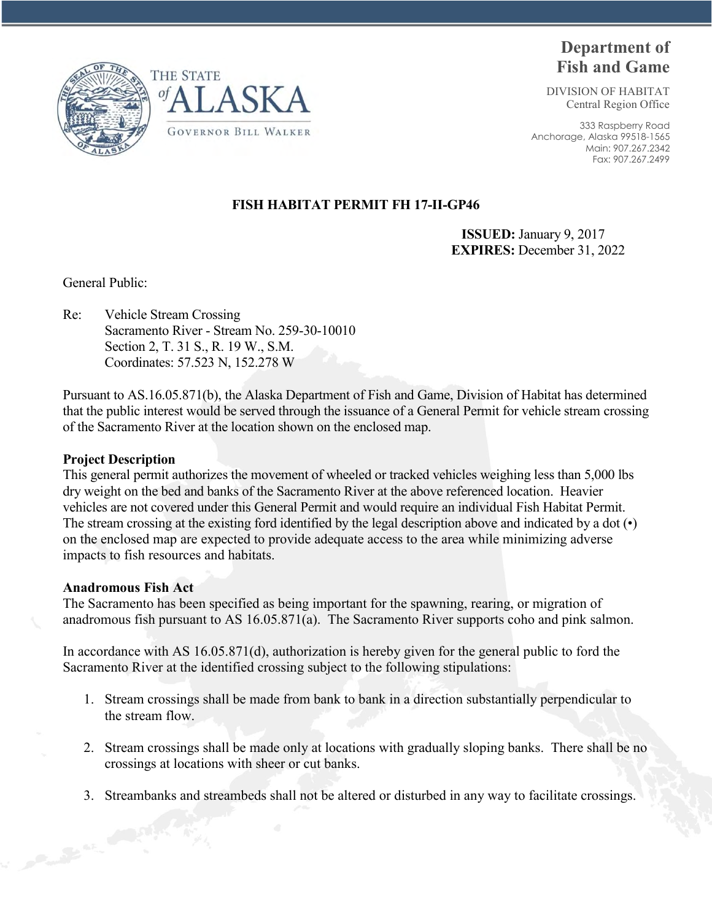



# **Department of Fish and Game**

DIVISION OF HABITAT Central Region Office

333 Raspberry Road Anchorage, Alaska 99518-1565 Main: 907.267.2342 Fax: 907.267.2499

## **FISH HABITAT PERMIT FH 17-II-GP46**

 **ISSUED:** January 9, 2017 **EXPIRES:** December 31, 2022

General Public:

Re: Vehicle Stream Crossing Sacramento River - Stream No. 259-30-10010 Section 2, T. 31 S., R. 19 W., S.M. Coordinates: 57.523 N, 152.278 W

Pursuant to AS.16.05.871(b), the Alaska Department of Fish and Game, Division of Habitat has determined that the public interest would be served through the issuance of a General Permit for vehicle stream crossing of the Sacramento River at the location shown on the enclosed map.

#### **Project Description**

This general permit authorizes the movement of wheeled or tracked vehicles weighing less than 5,000 lbs dry weight on the bed and banks of the Sacramento River at the above referenced location. Heavier vehicles are not covered under this General Permit and would require an individual Fish Habitat Permit. The stream crossing at the existing ford identified by the legal description above and indicated by a dot (•) on the enclosed map are expected to provide adequate access to the area while minimizing adverse impacts to fish resources and habitats.

### **Anadromous Fish Act**

The Sacramento has been specified as being important for the spawning, rearing, or migration of anadromous fish pursuant to AS 16.05.871(a). The Sacramento River supports coho and pink salmon.

In accordance with AS 16.05.871(d), authorization is hereby given for the general public to ford the Sacramento River at the identified crossing subject to the following stipulations:

- 1. Stream crossings shall be made from bank to bank in a direction substantially perpendicular to the stream flow.
- 2. Stream crossings shall be made only at locations with gradually sloping banks. There shall be no crossings at locations with sheer or cut banks.
- 3. Streambanks and streambeds shall not be altered or disturbed in any way to facilitate crossings.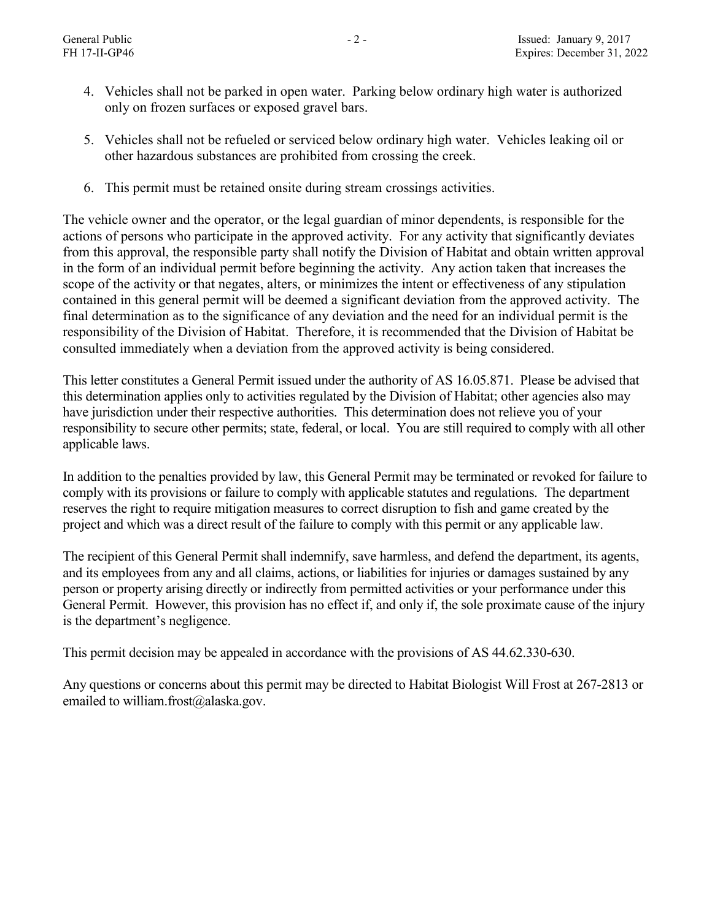- 4. Vehicles shall not be parked in open water. Parking below ordinary high water is authorized only on frozen surfaces or exposed gravel bars.
- 5. Vehicles shall not be refueled or serviced below ordinary high water. Vehicles leaking oil or other hazardous substances are prohibited from crossing the creek.
- 6. This permit must be retained onsite during stream crossings activities.

The vehicle owner and the operator, or the legal guardian of minor dependents, is responsible for the actions of persons who participate in the approved activity. For any activity that significantly deviates from this approval, the responsible party shall notify the Division of Habitat and obtain written approval in the form of an individual permit before beginning the activity. Any action taken that increases the scope of the activity or that negates, alters, or minimizes the intent or effectiveness of any stipulation contained in this general permit will be deemed a significant deviation from the approved activity. The final determination as to the significance of any deviation and the need for an individual permit is the responsibility of the Division of Habitat. Therefore, it is recommended that the Division of Habitat be consulted immediately when a deviation from the approved activity is being considered.

This letter constitutes a General Permit issued under the authority of AS 16.05.871. Please be advised that this determination applies only to activities regulated by the Division of Habitat; other agencies also may have jurisdiction under their respective authorities. This determination does not relieve you of your responsibility to secure other permits; state, federal, or local. You are still required to comply with all other applicable laws.

In addition to the penalties provided by law, this General Permit may be terminated or revoked for failure to comply with its provisions or failure to comply with applicable statutes and regulations. The department reserves the right to require mitigation measures to correct disruption to fish and game created by the project and which was a direct result of the failure to comply with this permit or any applicable law.

The recipient of this General Permit shall indemnify, save harmless, and defend the department, its agents, and its employees from any and all claims, actions, or liabilities for injuries or damages sustained by any person or property arising directly or indirectly from permitted activities or your performance under this General Permit. However, this provision has no effect if, and only if, the sole proximate cause of the injury is the department's negligence.

This permit decision may be appealed in accordance with the provisions of AS 44.62.330-630.

Any questions or concerns about this permit may be directed to Habitat Biologist Will Frost at 267-2813 or emailed to william.frost $(a)$ alaska.gov.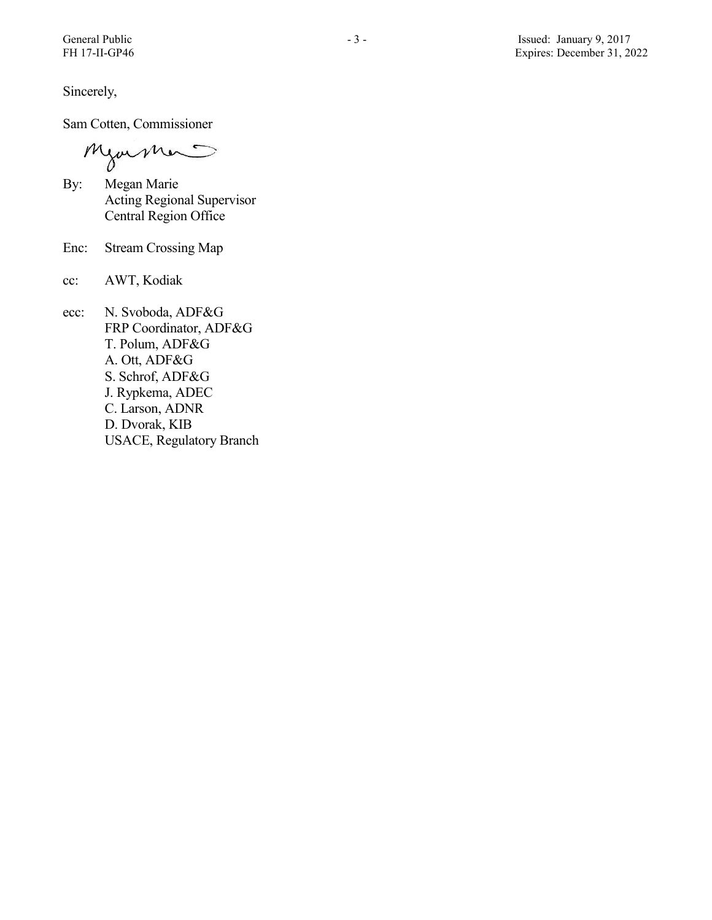Sincerely,

Sam Cotten, Commissioner

Mjormer

- By: Megan Marie Acting Regional Supervisor Central Region Office
- Enc: Stream Crossing Map
- cc: AWT, Kodiak
- ecc: N. Svoboda, ADF&G FRP Coordinator, ADF&G T. Polum, ADF&G A. Ott, ADF&G S. Schrof, ADF&G J. Rypkema, ADEC C. Larson, ADNR D. Dvorak, KIB USACE, Regulatory Branch